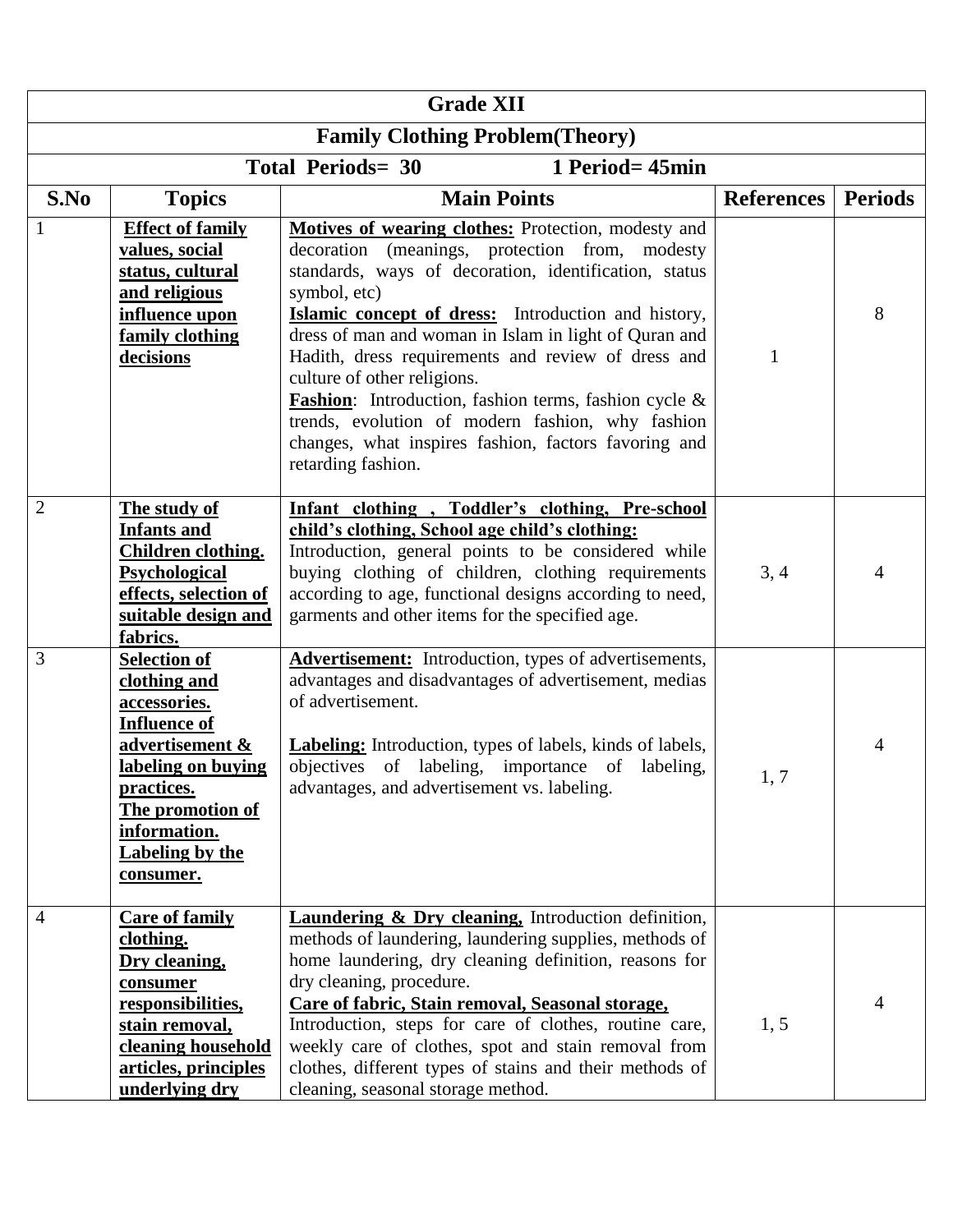| <b>Grade XII</b>                            |                                                                                                                                                                                                              |                                                                                                                                                                                                                                                                                                                                                                                                                                                                                                                                                                                          |                   |                |  |  |  |
|---------------------------------------------|--------------------------------------------------------------------------------------------------------------------------------------------------------------------------------------------------------------|------------------------------------------------------------------------------------------------------------------------------------------------------------------------------------------------------------------------------------------------------------------------------------------------------------------------------------------------------------------------------------------------------------------------------------------------------------------------------------------------------------------------------------------------------------------------------------------|-------------------|----------------|--|--|--|
| <b>Family Clothing Problem (Theory)</b>     |                                                                                                                                                                                                              |                                                                                                                                                                                                                                                                                                                                                                                                                                                                                                                                                                                          |                   |                |  |  |  |
| <b>Total Periods= 30</b><br>1 Period= 45min |                                                                                                                                                                                                              |                                                                                                                                                                                                                                                                                                                                                                                                                                                                                                                                                                                          |                   |                |  |  |  |
| S.No                                        | <b>Topics</b>                                                                                                                                                                                                | <b>Main Points</b>                                                                                                                                                                                                                                                                                                                                                                                                                                                                                                                                                                       | <b>References</b> | <b>Periods</b> |  |  |  |
|                                             | <b>Effect of family</b><br>values, social<br>status, cultural<br>and religious<br>influence upon<br>family clothing<br>decisions                                                                             | Motives of wearing clothes: Protection, modesty and<br>(meanings, protection from, modesty<br>decoration<br>standards, ways of decoration, identification, status<br>symbol, etc)<br>Islamic concept of dress: Introduction and history,<br>dress of man and woman in Islam in light of Quran and<br>Hadith, dress requirements and review of dress and<br>culture of other religions.<br><b>Fashion:</b> Introduction, fashion terms, fashion cycle &<br>trends, evolution of modern fashion, why fashion<br>changes, what inspires fashion, factors favoring and<br>retarding fashion. | 1                 | 8              |  |  |  |
| $\overline{2}$                              | The study of<br><b>Infants and</b><br>Children clothing.<br>Psychological<br>effects, selection of<br>suitable design and<br>fabrics.                                                                        | Infant clothing, Toddler's clothing, Pre-school<br>child's clothing, School age child's clothing:<br>Introduction, general points to be considered while<br>buying clothing of children, clothing requirements<br>according to age, functional designs according to need,<br>garments and other items for the specified age.                                                                                                                                                                                                                                                             | 3, 4              | 4              |  |  |  |
| 3                                           | <b>Selection of</b><br>clothing and<br>accessories.<br><b>Influence of</b><br>advertisement &<br>labeling on buying<br>practices.<br>The promotion of<br>information.<br><b>Labeling by the</b><br>consumer. | <b>Advertisement:</b> Introduction, types of advertisements,<br>advantages and disadvantages of advertisement, medias<br>of advertisement.<br><b>Labeling:</b> Introduction, types of labels, kinds of labels,<br>objectives of labeling, importance of labeling,<br>advantages, and advertisement vs. labeling.                                                                                                                                                                                                                                                                         | 1, 7              | 4              |  |  |  |
| $\overline{4}$                              | <b>Care of family</b><br>clothing.<br>Dry cleaning,<br>consumer<br>responsibilities,<br>stain removal,<br>cleaning household<br>articles, principles<br>underlying dry                                       | <b>Laundering &amp; Dry cleaning, Introduction definition,</b><br>methods of laundering, laundering supplies, methods of<br>home laundering, dry cleaning definition, reasons for<br>dry cleaning, procedure.<br>Care of fabric, Stain removal, Seasonal storage,<br>Introduction, steps for care of clothes, routine care,<br>weekly care of clothes, spot and stain removal from<br>clothes, different types of stains and their methods of<br>cleaning, seasonal storage method.                                                                                                      | 1, 5              | 4              |  |  |  |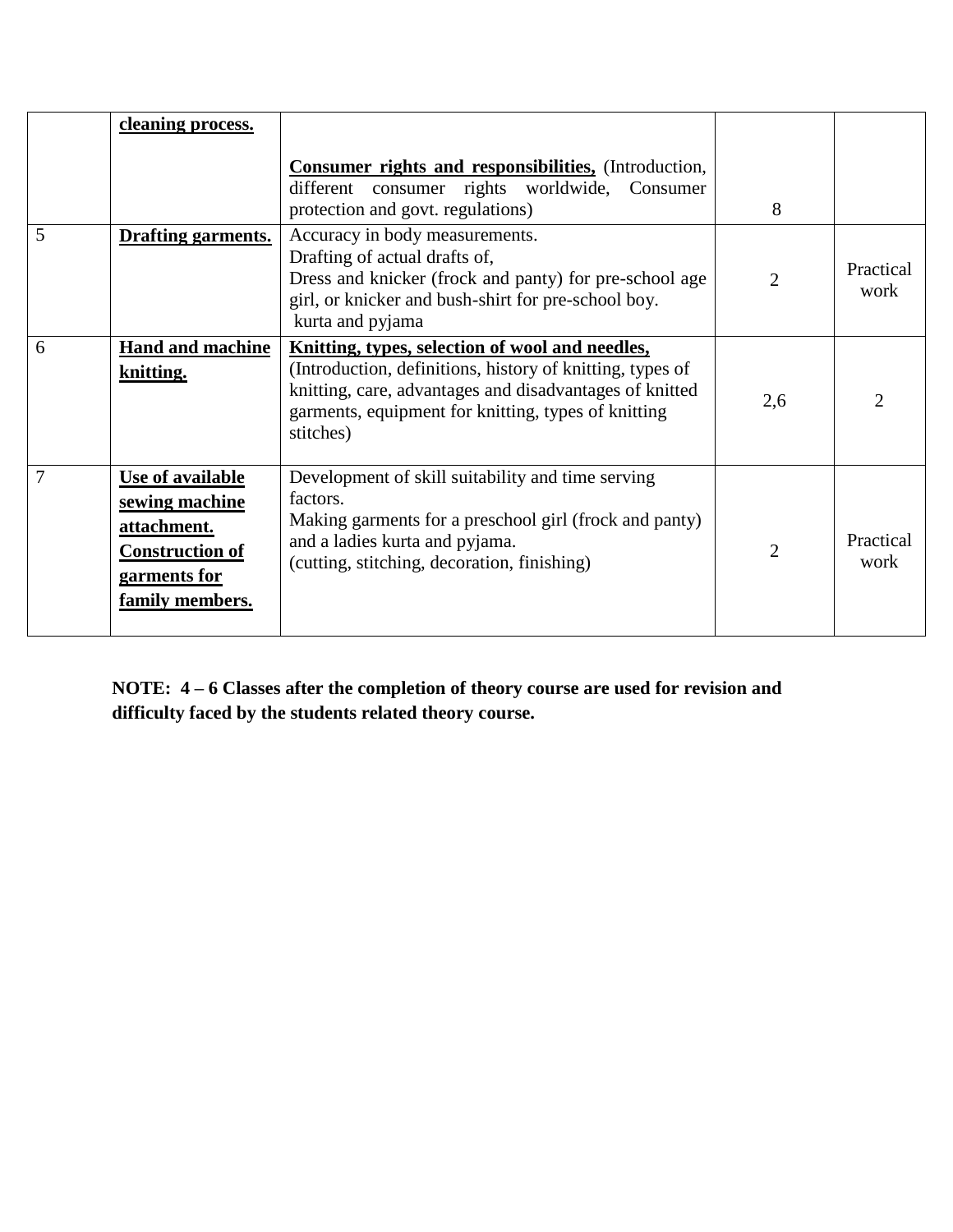|   | <u>cleaning</u> process.                                                                                       | <b>Consumer rights and responsibilities, (Introduction,</b><br>different consumer rights worldwide, Consumer<br>protection and govt. regulations)                                                                                           | 8              |                   |
|---|----------------------------------------------------------------------------------------------------------------|---------------------------------------------------------------------------------------------------------------------------------------------------------------------------------------------------------------------------------------------|----------------|-------------------|
| 5 | Drafting garments.                                                                                             | Accuracy in body measurements.<br>Drafting of actual drafts of,<br>Dress and knicker (frock and panty) for pre-school age<br>girl, or knicker and bush-shirt for pre-school boy.<br>kurta and pyjama                                        | $\overline{2}$ | Practical<br>work |
| 6 | <b>Hand and machine</b><br>knitting.                                                                           | Knitting, types, selection of wool and needles,<br>(Introduction, definitions, history of knitting, types of<br>knitting, care, advantages and disadvantages of knitted<br>garments, equipment for knitting, types of knitting<br>stitches) | 2,6            |                   |
| 7 | Use of available<br>sewing machine<br>attachment.<br><b>Construction of</b><br>garments for<br>family members. | Development of skill suitability and time serving<br>factors.<br>Making garments for a preschool girl (frock and panty)<br>and a ladies kurta and pyjama.<br>(cutting, stitching, decoration, finishing)                                    | $\overline{2}$ | Practical<br>work |

**NOTE: 4 – 6 Classes after the completion of theory course are used for revision and difficulty faced by the students related theory course.**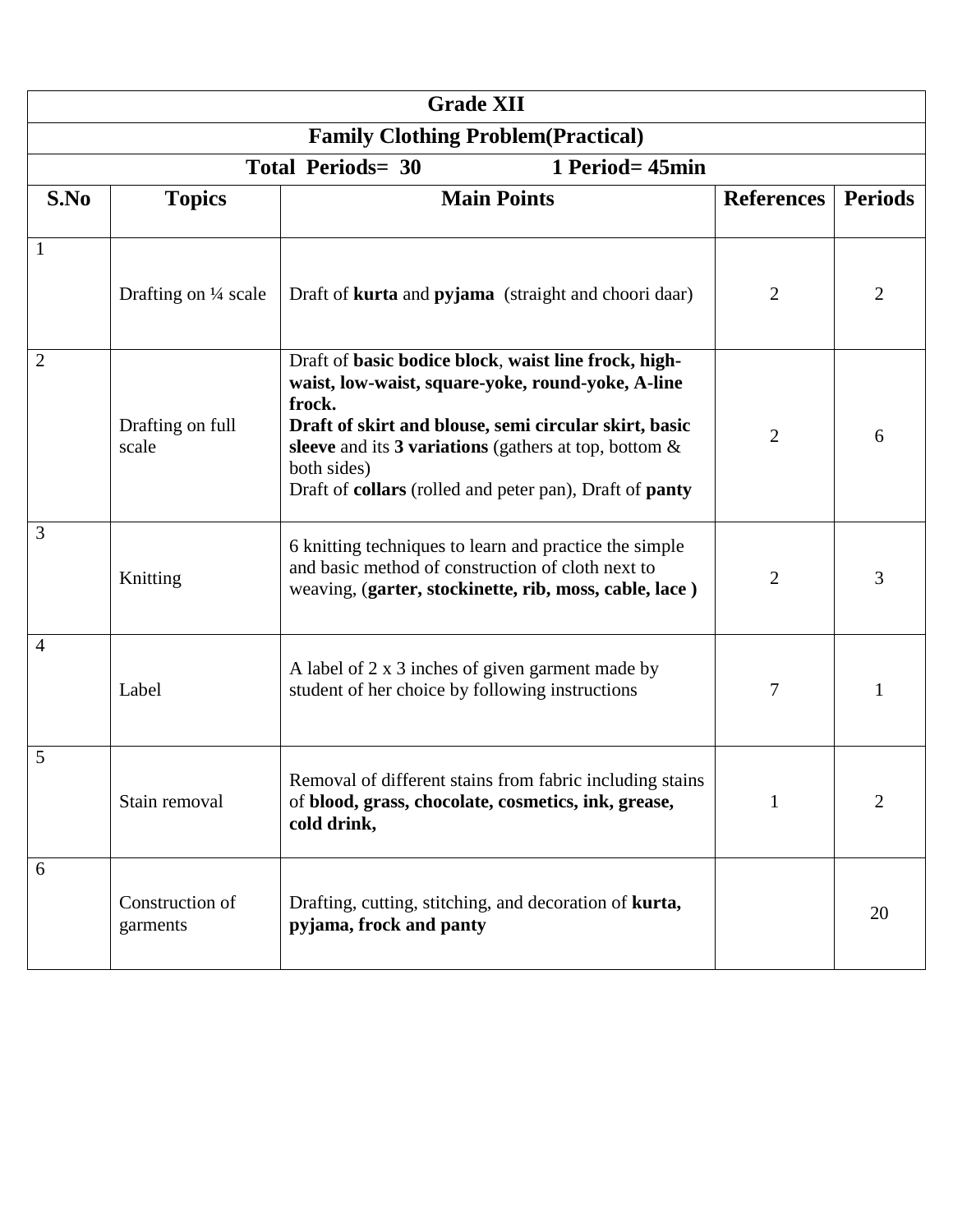| <b>Grade XII</b>                            |                                 |                                                                                                                                                                                                                                                                                                                                  |                   |                |  |  |  |  |
|---------------------------------------------|---------------------------------|----------------------------------------------------------------------------------------------------------------------------------------------------------------------------------------------------------------------------------------------------------------------------------------------------------------------------------|-------------------|----------------|--|--|--|--|
| <b>Family Clothing Problem (Practical)</b>  |                                 |                                                                                                                                                                                                                                                                                                                                  |                   |                |  |  |  |  |
| <b>Total Periods= 30</b><br>1 Period= 45min |                                 |                                                                                                                                                                                                                                                                                                                                  |                   |                |  |  |  |  |
| S.No                                        | <b>Topics</b>                   | <b>Main Points</b>                                                                                                                                                                                                                                                                                                               | <b>References</b> | <b>Periods</b> |  |  |  |  |
| 1                                           |                                 |                                                                                                                                                                                                                                                                                                                                  |                   |                |  |  |  |  |
|                                             | Drafting on $\frac{1}{4}$ scale | Draft of <b>kurta</b> and <b>pyjama</b> (straight and choori daar)                                                                                                                                                                                                                                                               | 2                 | 2              |  |  |  |  |
| $\overline{2}$                              | Drafting on full<br>scale       | Draft of basic bodice block, waist line frock, high-<br>waist, low-waist, square-yoke, round-yoke, A-line<br>frock.<br>Draft of skirt and blouse, semi circular skirt, basic<br>sleeve and its 3 variations (gathers at top, bottom $\&$<br>both sides)<br>Draft of <b>collars</b> (rolled and peter pan), Draft of <b>panty</b> | $\overline{2}$    | 6              |  |  |  |  |
| 3                                           | Knitting                        | 6 knitting techniques to learn and practice the simple<br>and basic method of construction of cloth next to<br>weaving, (garter, stockinette, rib, moss, cable, lace)                                                                                                                                                            | $\overline{2}$    | 3              |  |  |  |  |
| 4                                           | Label                           | A label of 2 x 3 inches of given garment made by<br>student of her choice by following instructions                                                                                                                                                                                                                              | 7                 |                |  |  |  |  |
| 5                                           | Stain removal                   | Removal of different stains from fabric including stains<br>of blood, grass, chocolate, cosmetics, ink, grease,<br>cold drink,                                                                                                                                                                                                   | $\mathbf{1}$      | 2              |  |  |  |  |
| 6                                           | Construction of<br>garments     | Drafting, cutting, stitching, and decoration of <b>kurta</b> ,<br>pyjama, frock and panty                                                                                                                                                                                                                                        |                   | 20             |  |  |  |  |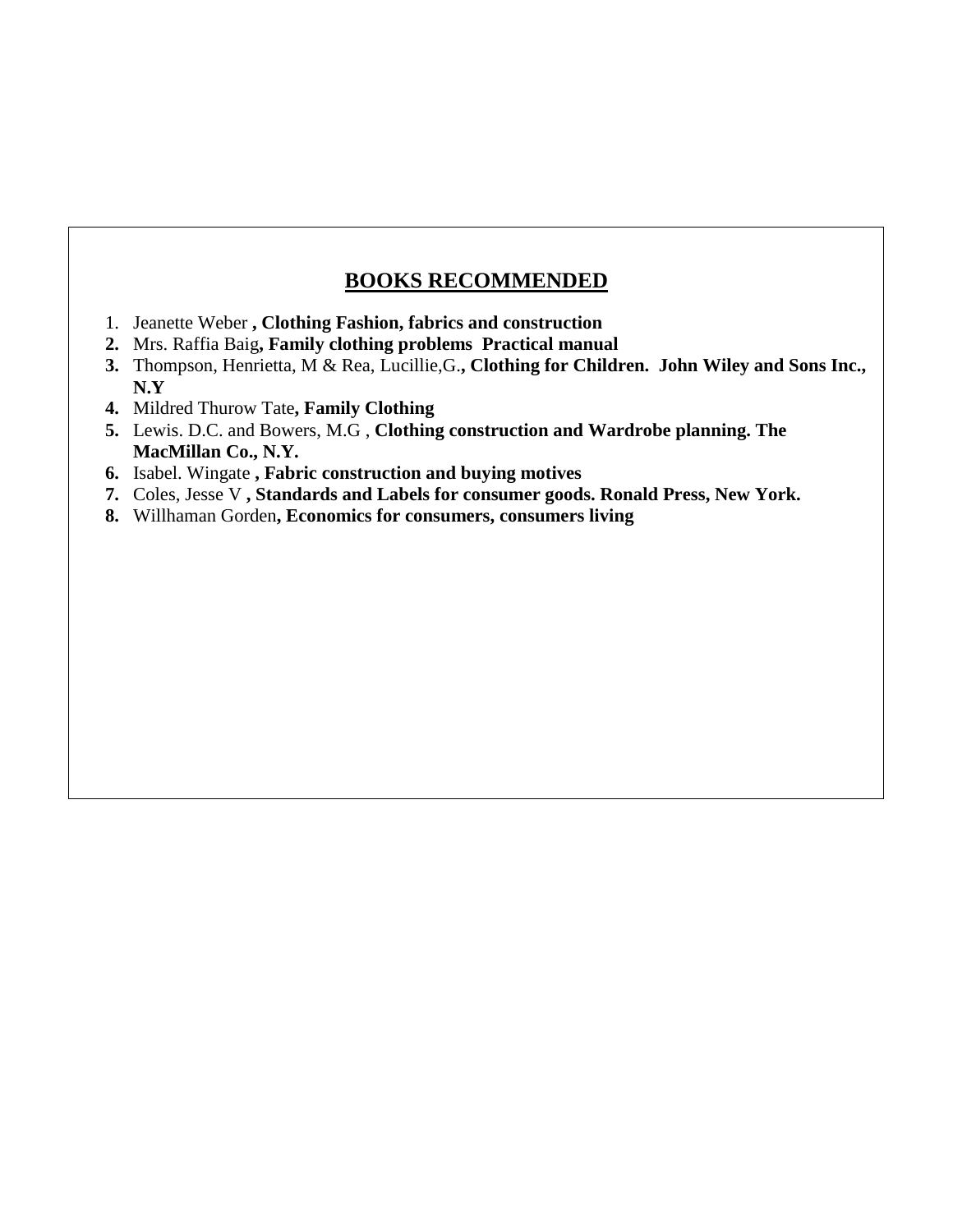## **BOOKS RECOMMENDED**

- 1. Jeanette Weber **, Clothing Fashion, fabrics and construction**
- **2.** Mrs. Raffia Baig**, Family clothing problems Practical manual**
- **3.** Thompson, Henrietta, M & Rea, Lucillie,G.**, Clothing for Children. John Wiley and Sons Inc., N.Y**
- **4.** Mildred Thurow Tate**, Family Clothing**
- **5.** Lewis. D.C. and Bowers, M.G , **Clothing construction and Wardrobe planning. The MacMillan Co., N.Y.**
- **6.** Isabel. Wingate **, Fabric construction and buying motives**
- **7.** Coles, Jesse V **, Standards and Labels for consumer goods. Ronald Press, New York.**
- **8.** Willhaman Gorden**, Economics for consumers, consumers living**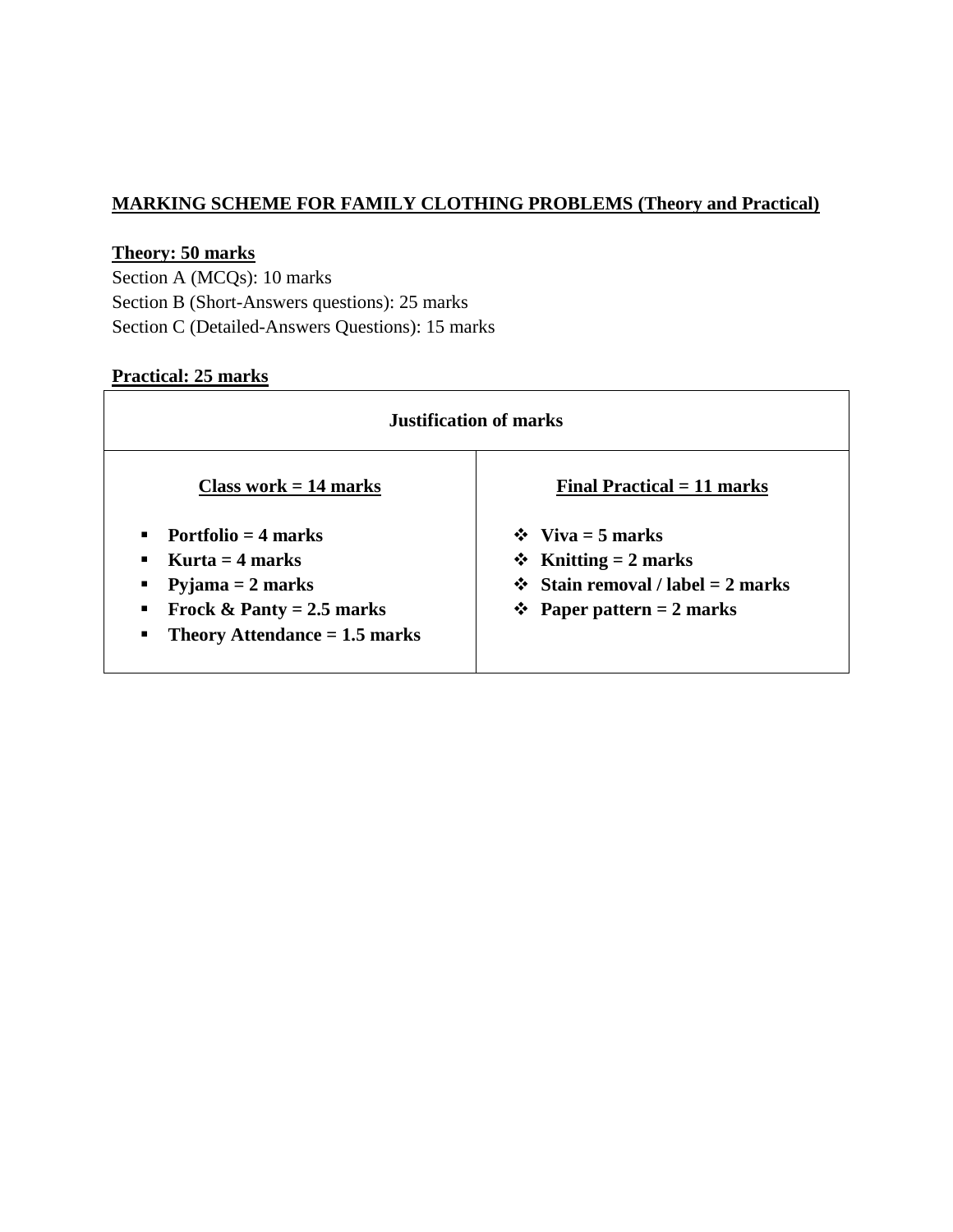## **MARKING SCHEME FOR FAMILY CLOTHING PROBLEMS (Theory and Practical)**

## **Theory: 50 marks**

Section A (MCQs): 10 marks Section B (Short-Answers questions): 25 marks Section C (Detailed-Answers Questions): 15 marks

## **Practical: 25 marks**

| <b>Justification of marks</b>                                                                                                           |                                                                                                                                            |  |  |  |
|-----------------------------------------------------------------------------------------------------------------------------------------|--------------------------------------------------------------------------------------------------------------------------------------------|--|--|--|
| Class work $= 14$ marks                                                                                                                 | Final Practical $= 11$ marks                                                                                                               |  |  |  |
| Portfolio $=$ 4 marks<br>Kurta $=$ 4 marks<br>Pyjama $= 2$ marks<br>Frock & Panty = $2.5$ marks<br>Theory Attendance $= 1.5$ marks<br>п | $\div$ Viva = 5 marks<br>$\div$ Knitting = 2 marks<br><b>❖</b> Stain removal / label = 2 marks<br><b>Example 1</b> Paper pattern = 2 marks |  |  |  |